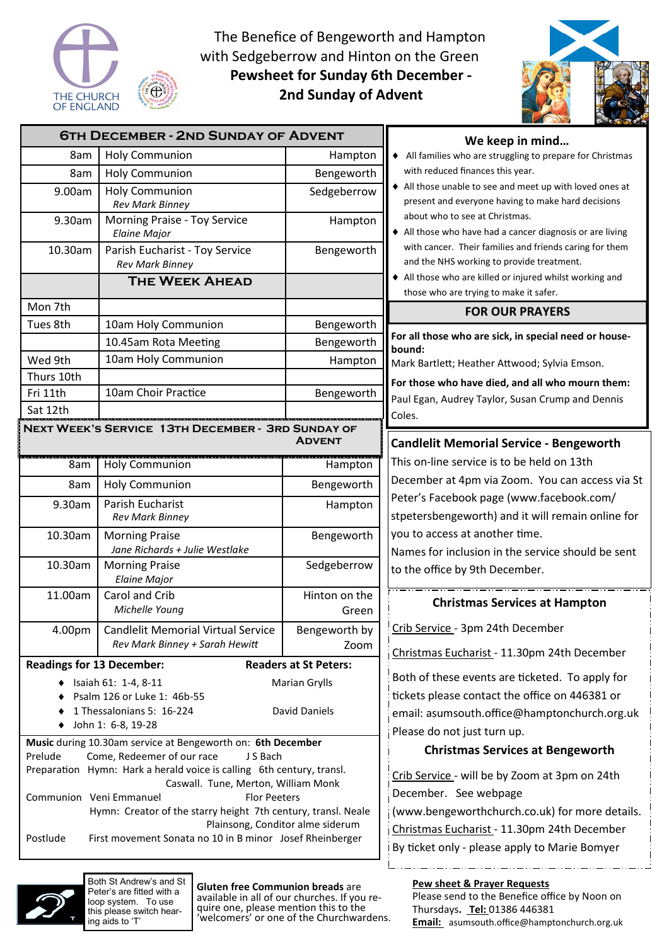

loop system. To use this please switch hearing aids to 'T'

The Benefice of Bengeworth and Hampton with Sedgeberrow and Hinton on the Green **Pewsheet for Sunday 6th December - 2nd Sunday of Advent** 



| <b>6TH DECEMBER - 2ND SUNDAY OF ADVENT</b>                                           |                                                                                   |                                              | We keep in mind                                                                                              |
|--------------------------------------------------------------------------------------|-----------------------------------------------------------------------------------|----------------------------------------------|--------------------------------------------------------------------------------------------------------------|
| 8am                                                                                  | <b>Holy Communion</b>                                                             | Hampton                                      | All families who are struggling to prepare for Christmas                                                     |
| 8am                                                                                  | <b>Holy Communion</b>                                                             | Bengeworth                                   | with reduced finances this year.                                                                             |
| 9.00am                                                                               | <b>Holy Communion</b><br><b>Rev Mark Binney</b>                                   | Sedgeberrow                                  | All those unable to see and meet up with loved ones at<br>present and everyone having to make hard decisions |
| 9.30am                                                                               | Morning Praise - Toy Service<br><b>Elaine Major</b>                               | Hampton                                      | about who to see at Christmas.<br>All those who have had a cancer diagnosis or are living                    |
| 10.30am                                                                              | Parish Eucharist - Toy Service<br><b>Rev Mark Binney</b>                          | Bengeworth                                   | with cancer. Their families and friends caring for them<br>and the NHS working to provide treatment.         |
|                                                                                      | <b>THE WEEK AHEAD</b>                                                             |                                              | All those who are killed or injured whilst working and<br>those who are trying to make it safer.             |
| Mon 7th                                                                              |                                                                                   |                                              | <b>FOR OUR PRAYERS</b>                                                                                       |
| Tues 8th                                                                             | 10am Holy Communion                                                               | Bengeworth                                   |                                                                                                              |
|                                                                                      | 10.45am Rota Meeting                                                              | Bengeworth                                   | For all those who are sick, in special need or house-                                                        |
| Wed 9th                                                                              | 10am Holy Communion                                                               | Hampton                                      | bound:<br>Mark Bartlett; Heather Attwood; Sylvia Emson.                                                      |
| Thurs 10th                                                                           |                                                                                   |                                              | For those who have died, and all who mourn them:                                                             |
| Fri 11th                                                                             | 10am Choir Practice                                                               | Bengeworth                                   | Paul Egan, Audrey Taylor, Susan Crump and Dennis                                                             |
| Sat 12th                                                                             |                                                                                   |                                              | Coles.                                                                                                       |
| NEXT WEEK'S SERVICE 13TH DECEMBER - 3RD SUNDAY OF<br><b>ADVENT</b>                   |                                                                                   |                                              | <b>Candlelit Memorial Service - Bengeworth</b>                                                               |
| 8am                                                                                  | <b>Holy Communion</b>                                                             | Hampton                                      | This on-line service is to be held on 13th                                                                   |
| 8am                                                                                  | <b>Holy Communion</b>                                                             | Bengeworth                                   | December at 4pm via Zoom. You can access via St                                                              |
| 9.30am                                                                               | Parish Eucharist                                                                  | Hampton                                      | Peter's Facebook page (www.facebook.com/                                                                     |
|                                                                                      | <b>Rev Mark Binney</b>                                                            |                                              | stpetersbengeworth) and it will remain online for                                                            |
| 10.30am                                                                              | <b>Morning Praise</b>                                                             | Bengeworth                                   | you to access at another time.                                                                               |
|                                                                                      | Jane Richards + Julie Westlake                                                    |                                              | Names for inclusion in the service should be sent                                                            |
| 10.30am                                                                              | <b>Morning Praise</b><br><b>Elaine Major</b>                                      | Sedgeberrow                                  | to the office by 9th December.                                                                               |
| 11.00am                                                                              | Carol and Crib<br>Michelle Young                                                  | Hinton on the<br>Green                       | <b>Christmas Services at Hampton</b>                                                                         |
| 4.00pm                                                                               | <b>Candlelit Memorial Virtual Service</b>                                         | Bengeworth by                                | Crib Service - 3pm 24th December                                                                             |
|                                                                                      | Rev Mark Binney + Sarah Hewitt                                                    | Zoom                                         | Christmas Eucharist - 11.30pm 24th December                                                                  |
| <b>Readings for 13 December:</b><br><b>Readers at St Peters:</b>                     |                                                                                   |                                              |                                                                                                              |
| ◆ Isaiah 61: 1-4, 8-11                                                               |                                                                                   | <b>Marian Grylls</b>                         | Both of these events are ticketed. To apply for                                                              |
| Psalm 126 or Luke 1: 46b-55                                                          |                                                                                   |                                              | tickets please contact the office on 446381 or                                                               |
| 1 Thessalonians 5: 16-224<br>David Daniels<br>John 1: 6-8, 19-28                     |                                                                                   |                                              | email: asumsouth.office@hamptonchurch.org.uk                                                                 |
| Music during 10.30am service at Bengeworth on: 6th December                          |                                                                                   |                                              | Please do not just turn up.                                                                                  |
| Come, Redeemer of our race<br>Prelude<br>J S Bach                                    |                                                                                   |                                              | <b>Christmas Services at Bengeworth</b>                                                                      |
| Preparation Hymn: Hark a herald voice is calling 6th century, transl.                |                                                                                   |                                              | Crib Service - will be by Zoom at 3pm on 24th                                                                |
| Caswall. Tune, Merton, William Monk<br>Communion Veni Emmanuel                       |                                                                                   |                                              | December. See webpage                                                                                        |
| <b>Flor Peeters</b><br>Hymn: Creator of the starry height 7th century, transl. Neale |                                                                                   |                                              | (www.bengeworthchurch.co.uk) for more details.                                                               |
| Plainsong, Conditor alme siderum                                                     |                                                                                   |                                              | Christmas Eucharist - 11.30pm 24th December                                                                  |
| Postlude                                                                             | First movement Sonata no 10 in B minor Josef Rheinberger                          |                                              | By ticket only - please apply to Marie Bomyer                                                                |
|                                                                                      |                                                                                   |                                              |                                                                                                              |
| Both St Andrew's and St                                                              |                                                                                   |                                              |                                                                                                              |
|                                                                                      | Gluten free Communion breads are<br>Peter's are fitted with a<br>on system To use | available in all of our churches. If you re- | <b>Pew sheet &amp; Prayer Requests</b><br>Please send to the Benefice office by Noon on                      |

quire one, please mention this to the 'welcomers' or one of the Churchwardens.

Please send to the Benefice office by Noon on Thursdays**. Tel:** 01386 446381 **Email:** asumsouth.office@hamptonchurch.org.uk